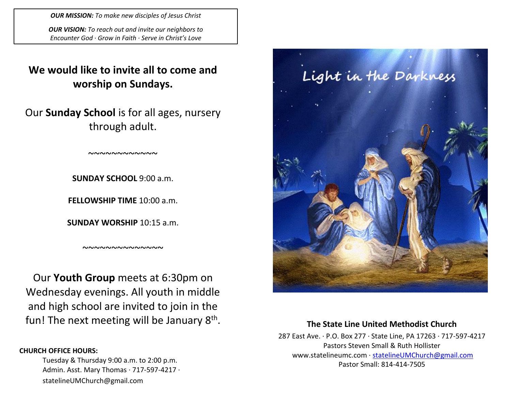*OUR MISSION: To make new disciples of Jesus Christ*

*OUR VISION: To reach out and invite our neighbors to Encounter God · Grow in Faith · Serve in Christ's Love*

# **We would like to invite all to come and worship on Sundays.**

Our **Sunday School** is for all ages, nursery through adult.

~~~~~~~~~~~~

**SUNDAY SCHOOL** 9:00 a.m.

**FELLOWSHIP TIME** 10:00 a.m.

**SUNDAY WORSHIP** 10:15 a.m.

~~~~~~~~~~~~~~

Our **Youth Group** meets at 6:30pm on Wednesday evenings. All youth in middle and high school are invited to join in the fun! The next meeting will be January 8<sup>th</sup>.

### **CHURCH OFFICE HOURS:**

Tuesday & Thursday 9:00 a.m. to 2:00 p.m. Admin. Asst. Mary Thomas · 717-597-4217 · statelineUMChurch@gmail.com



## **The State Line United Methodist Church**

287 East Ave. · P.O. Box 277 · State Line, PA 17263 · 717-597-4217 Pastors Steven Small & Ruth Hollister [www.statelineumc.com](http://www.statelineumc.com/) · [statelineUMChurch@gmail.com](mailto:statelineUMChurch@gmail.com) Pastor Small: 814-414-7505